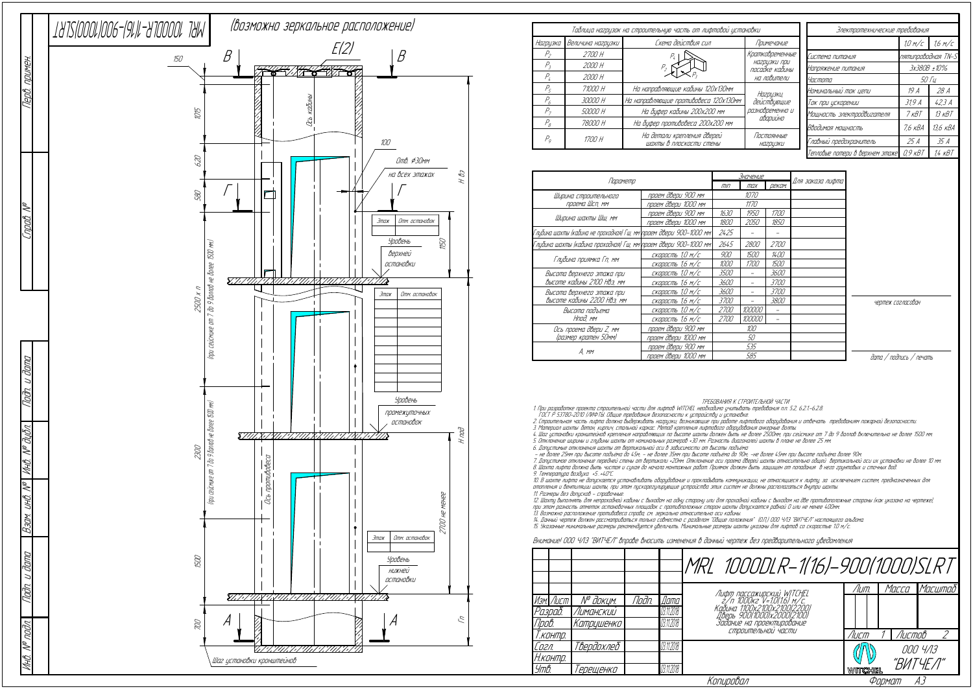|                                                                    | <u>Значение</u>          |             |             |                          |  |
|--------------------------------------------------------------------|--------------------------|-------------|-------------|--------------------------|--|
| Параметр                                                           | III                      | max         | реком.      | Для заказа лифта         |  |
| Ширина строительного                                               | проем двери 900 мм       |             | 1070        |                          |  |
| проема Шсп, мм                                                     | проем двери 1000 мм      |             | 1170        |                          |  |
|                                                                    | проем двери 900 мм       | 1630        | 1950        | <i>1700</i>              |  |
| Ширина шахты Шш, мм                                                | проем двери 1000 мм      | 1800        | 2050        | 1850                     |  |
| Глубина шахты (кабина не проходная) Гш, мм\проем двери 900–1000 мм |                          | 2425        |             |                          |  |
| Глубина шахты (кабина проходная) Гш, мм\проем двери 900–1000 мм    |                          | 2645        | 2800        | <i>2700</i>              |  |
| Глубина приямка Гп, мм                                             | <u>скорость</u> 1,0 м/с  | 900         | 1500        | 1400                     |  |
|                                                                    | скорость 1,6 м/с         | 1000        | <i>1700</i> | <i>1500</i>              |  |
| Высота верхнего этажа при                                          | скорость 1,0 м/с         | <i>3500</i> |             | 3600                     |  |
| высоте кабины 2100 Нвэ, мм                                         | <u>скорос</u> ть 1,6 м/с | 3600        |             | <i>3700</i>              |  |
| Высота верхнего этажа при                                          | скорость 1,0 м/с         | <i>3600</i> |             | <i>3700</i>              |  |
| Высоте кабины 2200 НВэ, мм                                         | скорость 1,6 м/с         | <i>3700</i> |             | 3800                     |  |
| Высота подъема                                                     | скорость 1,0 м/с         | <i>2700</i> | 100000      | $\overline{\phantom{a}}$ |  |
| Нпод, мм                                                           | скорость 1,6 м/с         | <i>2700</i> | 100000      |                          |  |
| Ось проема двери Z, мм                                             | проем двери 900 мм       | 100         |             |                          |  |
| (размер кратен 50мм)                                               | проем двери 1000 мм      | 50          |             |                          |  |
|                                                                    | проем двери 900 мм       | 535         |             |                          |  |
| A. mm                                                              | проем двери 1000 мм      |             | 585         |                          |  |

ТРЕБОВАНИЯ К СТРОИТЕЛЬНОЙ ЧАСТИ

1. При разработке проекта строительной части для лифтов WITCHEL необходимо учитывать требования <sup>п</sup>.п. 5.2, 6.2.1.-6.2.8.

ГОСТ Р 53780-2010 (ЛИФТЫ. Общие требования безопасности <sup>к</sup> устройству <sup>и</sup> установке.

2. Строительная часть лифта должна выдерживать нагрузки, возникающие при работе лифтового оборудования <sup>и</sup> отвечать требованиям пожарной безопасности.

12. Шахту выполнять для непроходной кабины <sup>с</sup> выходом на одну сторону или для проходной кабины <sup>с</sup> выходом на две противоположные стороны (как указано на чертеже), при этом разность отметок остановочных площадок <sup>с</sup> противположных сторон шахты допускается равной 0 или не менее 400мм. 13. Возможно расположение противовеса справа, см. зеркально относительно оси кабины.<br>14. Данный чертеж должен рассматриваться только совместно с разделом "Общие положения" (О.П.) ООО ЧЛЗ "ВИТЧЕЛ" настоящего альбома.<br>15. У

3. Материал шахты: бетон, кирпич, стальной каркас. Метод крепления лифтового оборудования анкерные болты.

4. Шаг установки кронштейнов крепления направляющих по высоте шахты должен быть не более 2500мм, при сейсмике от 7 до 9 баллов включительно не более 1500 мм. 5. Отклонение ширины <sup>и</sup> глубины шахты от номинальных размеров +30 мм. Разность диагоналей шахты в плане не более 25 мм.

6. Допустимые отклонения шахты от вертикальной оси в зависимости от высоты подъёма:<br>– не более 25мм при высоте подъёма до 45м; – не более 35мм при высоте подъёма до 90м; -не более 45мм при высоте подъёма более 90м

7. Допустимое отклонение передней стены от вертикали +20мм. Отклонение оси проема дверей шахты относительно общей вертикальной оси их установки не более 10 мм. 8. Шахта лифта должна быть чистая <sup>и</sup> сухая до начала монтажных работ. Приямок должен быть защищен от попадания в него грунтовых <sup>и</sup> сточных вод.

9. Температура воздуха +5…+40°С.

10. В шахте лифта не допускается устанавливать оборудование <sup>и</sup> прокладывать коммуникации, не относящиеся <sup>к</sup> лифту, за исключением систем, предназначенных для отопления и вентиляции шахты, при этом пускорегулирующие устройства этих систем не должны располагаться внутри шахты 11. Размеры без допусков - справочные.

|          |                  |            |       |            | MRL 1000DLR-1(16)-900(1000)SLRT                           |         |        |          |
|----------|------------------|------------|-------|------------|-----------------------------------------------------------|---------|--------|----------|
|          |                  |            |       |            |                                                           | /Іит.   | Macca  | Macumað  |
|          | Изм. Лист        | N° докум.  | Noðn. | Дата       | Лифт пассажирский WITCHEL<br>2/п 1000кг V=1.0(1.6) м/с.   |         |        |          |
| Разраб.  |                  | Лиманский  |       | 03.11.2018 | Кабина 1100х2100х2100(2200)<br>Дверь 900(1000)x2000(2100) |         |        |          |
| Npob.    |                  | Катрцшенко |       | 03.11.2018 | Задание на проектирование                                 |         |        |          |
|          | Ť.конт <u>р.</u> |            |       |            | СТООИТЕЛЬНОЙ ЧАСТИ                                        | Лист    | Листов |          |
| Согл.    |                  | Твердохлеб |       | 03.11.2018 |                                                           |         |        | 000 4/13 |
| Н.контр. |                  |            |       |            |                                                           |         |        | "ВИТЧЕЛ" |
| Утв.     |                  | 'ерещенко  |       | 03.11.2018 |                                                           | WITCHEL |        |          |
|          |                  |            |       |            | Копировал                                                 |         | Формат | AЗ       |

## Внимание! ООО ЧЛЗ "ВИТЧЕЛ" вправе вносить изменения в данный чертеж без предварительного уведомления

| Таблица нагрузок на строительную часть от лифтовой установки |                   |                                                       |                                | Электротехнические требования   |                    |             |
|--------------------------------------------------------------|-------------------|-------------------------------------------------------|--------------------------------|---------------------------------|--------------------|-------------|
| Нагрузка                                                     | Величина нагрцзки | Схема действия сил                                    | Примечание                     |                                 | 1.0 M/c            | 1.6 M/C     |
| Р,                                                           | 2700 H            |                                                       | Кратковременные                | Система питания                 | nятипроводная TN-S |             |
| Р,                                                           | 2000 H            |                                                       | нагрузки при<br>посадке кабины | Напряжение питания              |                    | 3x380B ±10% |
| Р,                                                           | 2000 H            |                                                       | на ловители                    | <i>Частота</i>                  | <i>50 Tu</i>       |             |
| P <sub>5</sub>                                               | 71000 H           | На направляющие кабины 120х130мм                      | Нагризки,                      | Номинальный ток цепи            | 19 A               | 28 A        |
| P <sub>6</sub>                                               | 30000 H           | На направляющие противовеса 120х130мм                 | действующие                    |                                 | 319A               | 42.3A       |
| $P_{\tau}$                                                   | 50000 H           | На буфер кабины 200х200 мм                            | разновременно и                | Мощность электродвигателя       | 7 кВТ              | $13$ $KBT$  |
| $P_{\scriptscriptstyle R}$                                   | 78000 H           | На буфер противовеса 200х200 мм                       | аварийно                       | Вводимая мощность               | 7,6 кВА            | 13,6 кВА    |
| $P_{o}$                                                      | 1700 H            | На детали крепления дверей<br>шахты в плоскости стены | Постоянные<br>НА2ДЦЗКИ         | Главный предохранитель          | 25 A               | 35 A        |
|                                                              |                   |                                                       |                                | Тепловые потери в верхнем этаже | $0.9$ $\kappa$ BT  | $1/4$ $KBT$ |

дата / подпись / печать

|  | чертеж согласован |
|--|-------------------|
|--|-------------------|